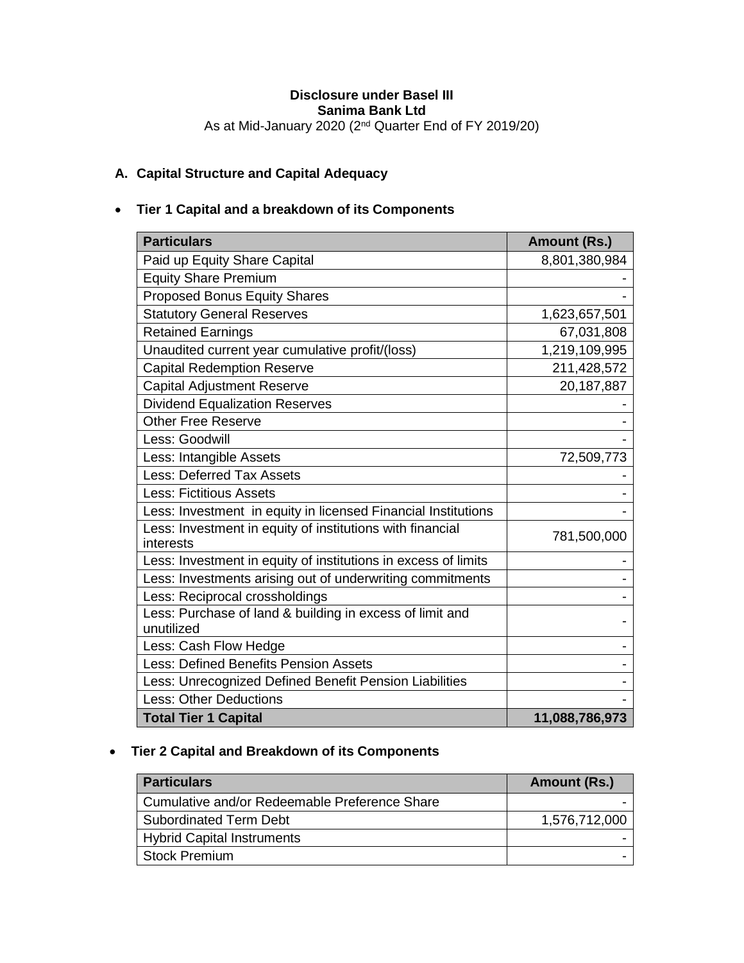## **Disclosure under Basel III Sanima Bank Ltd** As at Mid-January 2020 (2<sup>nd</sup> Quarter End of FY 2019/20)

# **A. Capital Structure and Capital Adequacy**

# **Tier 1 Capital and a breakdown of its Components**

| <b>Particulars</b>                                                     | Amount (Rs.)   |
|------------------------------------------------------------------------|----------------|
| Paid up Equity Share Capital                                           | 8,801,380,984  |
| <b>Equity Share Premium</b>                                            |                |
| <b>Proposed Bonus Equity Shares</b>                                    |                |
| <b>Statutory General Reserves</b>                                      | 1,623,657,501  |
| <b>Retained Earnings</b>                                               | 67,031,808     |
| Unaudited current year cumulative profit/(loss)                        | 1,219,109,995  |
| <b>Capital Redemption Reserve</b>                                      | 211,428,572    |
| <b>Capital Adjustment Reserve</b>                                      | 20,187,887     |
| <b>Dividend Equalization Reserves</b>                                  |                |
| <b>Other Free Reserve</b>                                              |                |
| Less: Goodwill                                                         |                |
| Less: Intangible Assets                                                | 72,509,773     |
| <b>Less: Deferred Tax Assets</b>                                       |                |
| <b>Less: Fictitious Assets</b>                                         |                |
| Less: Investment in equity in licensed Financial Institutions          |                |
| Less: Investment in equity of institutions with financial<br>interests | 781,500,000    |
| Less: Investment in equity of institutions in excess of limits         |                |
| Less: Investments arising out of underwriting commitments              |                |
| Less: Reciprocal crossholdings                                         |                |
| Less: Purchase of land & building in excess of limit and<br>unutilized |                |
| Less: Cash Flow Hedge                                                  |                |
| <b>Less: Defined Benefits Pension Assets</b>                           |                |
| Less: Unrecognized Defined Benefit Pension Liabilities                 |                |
| <b>Less: Other Deductions</b>                                          |                |
| <b>Total Tier 1 Capital</b>                                            | 11,088,786,973 |

## **Tier 2 Capital and Breakdown of its Components**

| <b>Particulars</b>                            | Amount (Rs.)  |
|-----------------------------------------------|---------------|
| Cumulative and/or Redeemable Preference Share |               |
| <b>Subordinated Term Debt</b>                 | 1,576,712,000 |
| <b>Hybrid Capital Instruments</b>             |               |
| <b>Stock Premium</b>                          |               |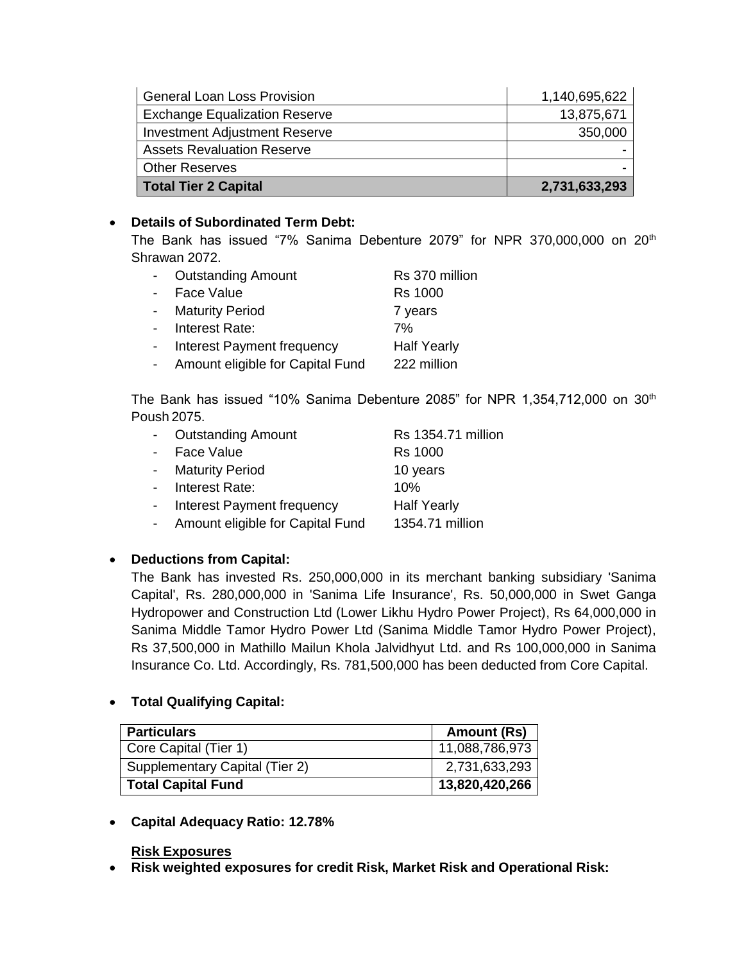| <b>General Loan Loss Provision</b>   | 1,140,695,622 |
|--------------------------------------|---------------|
| <b>Exchange Equalization Reserve</b> | 13,875,671    |
| <b>Investment Adjustment Reserve</b> | 350,000       |
| <b>Assets Revaluation Reserve</b>    |               |
| <b>Other Reserves</b>                |               |
| Total Tier 2 Capital                 | 2,731,633,293 |

## **Details of Subordinated Term Debt:**

The Bank has issued "7% Sanima Debenture 2079" for NPR 370,000,000 on 20<sup>th</sup> Shrawan 2072.

|                | - Outstanding Amount               | Rs 370 million     |
|----------------|------------------------------------|--------------------|
| $\sim 10^{-1}$ | Face Value                         | <b>Rs 1000</b>     |
|                | - Maturity Period                  | 7 years            |
|                | - Interest Rate:                   | 7%                 |
|                | - Interest Payment frequency       | <b>Half Yearly</b> |
|                | - Amount eligible for Capital Fund | 222 million        |

The Bank has issued "10% Sanima Debenture 2085" for NPR 1,354,712,000 on 30<sup>th</sup> Poush 2075.

|                 | - Outstanding Amount               | Rs 1354.71 million |
|-----------------|------------------------------------|--------------------|
| $\sim 10^{-11}$ | Face Value                         | <b>Rs 1000</b>     |
|                 | - Maturity Period                  | 10 years           |
|                 | - Interest Rate:                   | 10%                |
|                 | - Interest Payment frequency       | <b>Half Yearly</b> |
|                 | - Amount eligible for Capital Fund | 1354.71 million    |

## **Deductions from Capital:**

The Bank has invested Rs. 250,000,000 in its merchant banking subsidiary 'Sanima Capital', Rs. 280,000,000 in 'Sanima Life Insurance', Rs. 50,000,000 in Swet Ganga Hydropower and Construction Ltd (Lower Likhu Hydro Power Project), Rs 64,000,000 in Sanima Middle Tamor Hydro Power Ltd (Sanima Middle Tamor Hydro Power Project), Rs 37,500,000 in Mathillo Mailun Khola Jalvidhyut Ltd. and Rs 100,000,000 in Sanima Insurance Co. Ltd. Accordingly, Rs. 781,500,000 has been deducted from Core Capital.

## **Total Qualifying Capital:**

| <b>Particulars</b>             | <b>Amount (Rs)</b> |
|--------------------------------|--------------------|
| Core Capital (Tier 1)          | 11,088,786,973     |
| Supplementary Capital (Tier 2) | 2,731,633,293      |
| <b>Total Capital Fund</b>      | 13,820,420,266     |

**Capital Adequacy Ratio: 12.78%**

## **Risk Exposures**

**Risk weighted exposures for credit Risk, Market Risk and Operational Risk:**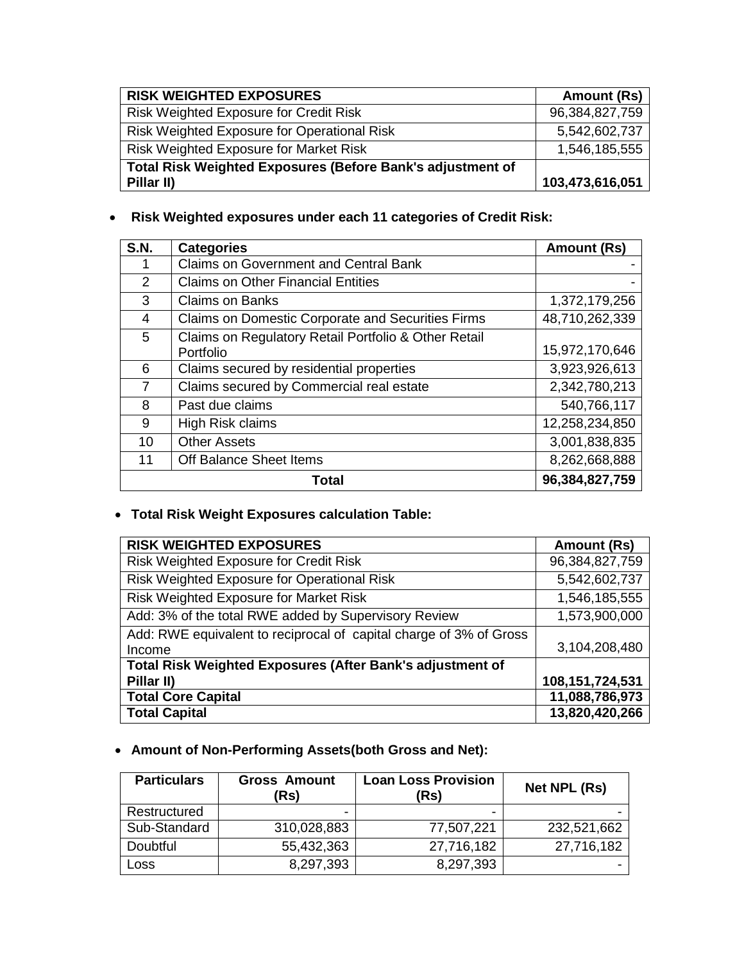| <b>RISK WEIGHTED EXPOSURES</b>                             | Amount (Rs)     |
|------------------------------------------------------------|-----------------|
| <b>Risk Weighted Exposure for Credit Risk</b>              | 96,384,827,759  |
| <b>Risk Weighted Exposure for Operational Risk</b>         | 5,542,602,737   |
| <b>Risk Weighted Exposure for Market Risk</b>              | 1,546,185,555   |
| Total Risk Weighted Exposures (Before Bank's adjustment of |                 |
| Pillar II)                                                 | 103,473,616,051 |

# **Risk Weighted exposures under each 11 categories of Credit Risk:**

| <b>S.N.</b>   | <b>Categories</b>                                                 | <b>Amount (Rs)</b> |
|---------------|-------------------------------------------------------------------|--------------------|
|               | <b>Claims on Government and Central Bank</b>                      |                    |
| $\mathcal{P}$ | <b>Claims on Other Financial Entities</b>                         |                    |
| 3             | <b>Claims on Banks</b>                                            | 1,372,179,256      |
| 4             | Claims on Domestic Corporate and Securities Firms                 | 48,710,262,339     |
| 5             | Claims on Regulatory Retail Portfolio & Other Retail<br>Portfolio | 15,972,170,646     |
| 6             | Claims secured by residential properties                          | 3,923,926,613      |
| 7             | Claims secured by Commercial real estate                          | 2,342,780,213      |
| 8             | Past due claims                                                   | 540,766,117        |
| 9             | High Risk claims                                                  | 12,258,234,850     |
| 10            | <b>Other Assets</b>                                               | 3,001,838,835      |
| 11            | Off Balance Sheet Items                                           | 8,262,668,888      |
|               | Total                                                             | 96,384,827,759     |

# **Total Risk Weight Exposures calculation Table:**

| <b>RISK WEIGHTED EXPOSURES</b>                                     | Amount (Rs)     |
|--------------------------------------------------------------------|-----------------|
| Risk Weighted Exposure for Credit Risk                             | 96,384,827,759  |
| Risk Weighted Exposure for Operational Risk                        | 5,542,602,737   |
| Risk Weighted Exposure for Market Risk                             | 1,546,185,555   |
| Add: 3% of the total RWE added by Supervisory Review               | 1,573,900,000   |
| Add: RWE equivalent to reciprocal of capital charge of 3% of Gross |                 |
| Income                                                             | 3,104,208,480   |
| Total Risk Weighted Exposures (After Bank's adjustment of          |                 |
| Pillar II)                                                         | 108,151,724,531 |
| <b>Total Core Capital</b>                                          | 11,088,786,973  |
| <b>Total Capital</b>                                               | 13,820,420,266  |

# **Amount of Non-Performing Assets(both Gross and Net):**

| <b>Particulars</b> | <b>Gross Amount</b><br>(Rs) | <b>Loan Loss Provision</b><br>(Rs) | Net NPL (Rs) |
|--------------------|-----------------------------|------------------------------------|--------------|
| Restructured       |                             |                                    |              |
| Sub-Standard       | 310,028,883                 | 77,507,221                         | 232,521,662  |
| Doubtful           | 55,432,363                  | 27,716,182                         | 27,716,182   |
| Loss               | 8,297,393                   | 8,297,393                          |              |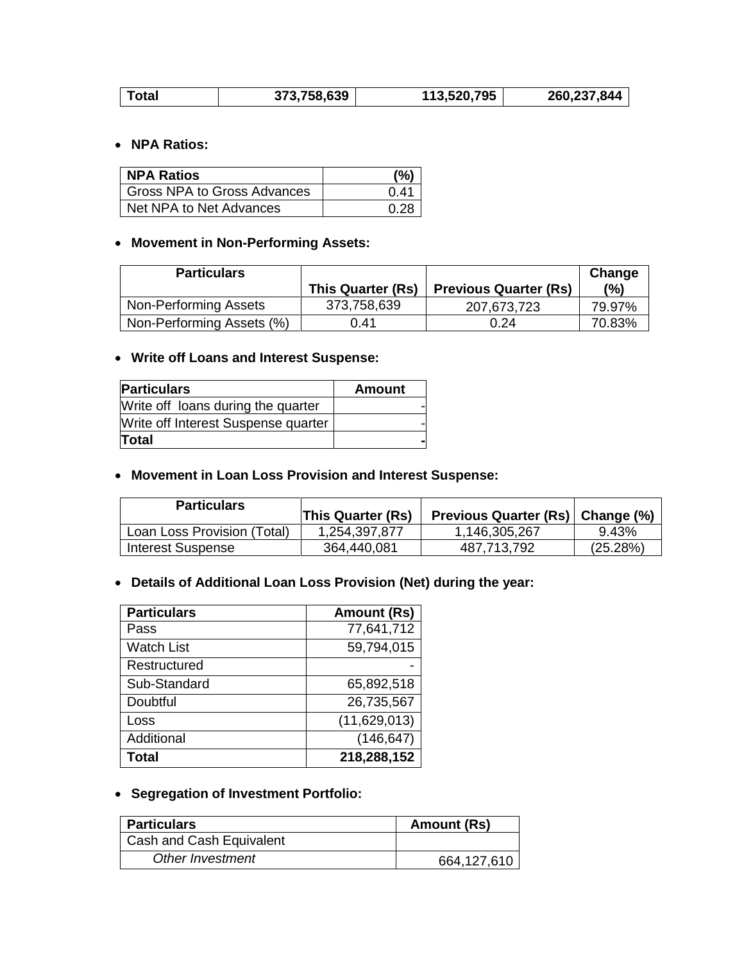|  | Total | 373,758,639 | 113,520,795 | 260,237,844 |
|--|-------|-------------|-------------|-------------|
|--|-------|-------------|-------------|-------------|

## **NPA Ratios:**

| <b>NPA Ratios</b>             | (%)  |
|-------------------------------|------|
| l Gross NPA to Gross Advances | በ 41 |
| Net NPA to Net Advances       | 0.28 |

## **Movement in Non-Performing Assets:**

| <b>Particulars</b>        |                   |                              | Change |
|---------------------------|-------------------|------------------------------|--------|
|                           | This Quarter (Rs) | <b>Previous Quarter (Rs)</b> | (%)    |
| Non-Performing Assets     | 373,758,639       | 207,673,723                  | 79.97% |
| Non-Performing Assets (%) | 0.41              | 0.24                         | 70.83% |

## **Write off Loans and Interest Suspense:**

| <b>Particulars</b>                  | <b>Amount</b> |
|-------------------------------------|---------------|
| Write off loans during the quarter  |               |
| Write off Interest Suspense quarter |               |
| <b>Total</b>                        |               |

## **Movement in Loan Loss Provision and Interest Suspense:**

| <b>Particulars</b>          | <b>This Quarter (Rs)</b> | Previous Quarter (Rs)   Change (%) |          |
|-----------------------------|--------------------------|------------------------------------|----------|
| Loan Loss Provision (Total) | 1.254.397.877            | 1,146,305,267                      | 9.43%    |
| Interest Suspense           | 364.440.081              | 487,713,792                        | (25.28%) |

## **Details of Additional Loan Loss Provision (Net) during the year:**

| <b>Particulars</b> | Amount (Rs)  |
|--------------------|--------------|
| Pass               | 77,641,712   |
| <b>Watch List</b>  | 59,794,015   |
| Restructured       |              |
| Sub-Standard       | 65,892,518   |
| Doubtful           | 26,735,567   |
| Loss               | (11,629,013) |
| Additional         | (146, 647)   |
| Total              | 218,288,152  |

# **Segregation of Investment Portfolio:**

| <b>Particulars</b>       | Amount (Rs) |
|--------------------------|-------------|
| Cash and Cash Equivalent |             |
| Other Investment         | 664,127,610 |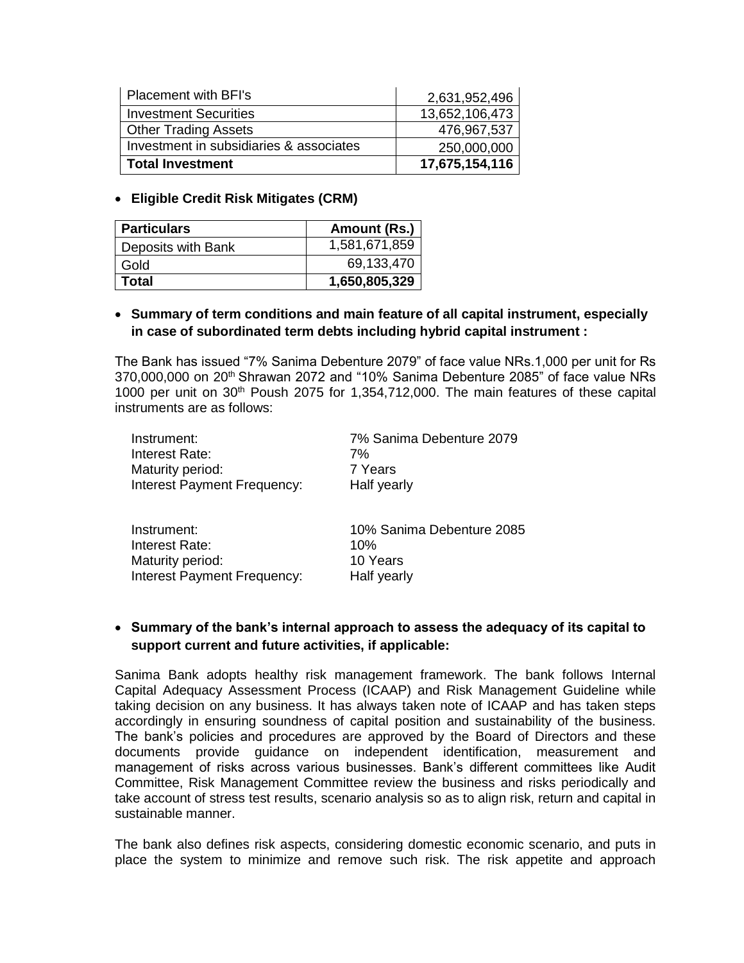| <b>Placement with BFI's</b>             | 2,631,952,496  |
|-----------------------------------------|----------------|
| <b>Investment Securities</b>            | 13,652,106,473 |
| <b>Other Trading Assets</b>             | 476,967,537    |
| Investment in subsidiaries & associates | 250,000,000    |
| <b>Total Investment</b>                 | 17,675,154,116 |

#### **Eligible Credit Risk Mitigates (CRM)**

| <b>Particulars</b> | Amount (Rs.)  |
|--------------------|---------------|
| Deposits with Bank | 1,581,671,859 |
| Gold               | 69,133,470    |
| Total              | 1,650,805,329 |

## **Summary of term conditions and main feature of all capital instrument, especially in case of subordinated term debts including hybrid capital instrument :**

The Bank has issued "7% Sanima Debenture 2079" of face value NRs.1,000 per unit for Rs 370,000,000 on 20th Shrawan 2072 and "10% Sanima Debenture 2085" of face value NRs 1000 per unit on  $30<sup>th</sup>$  Poush 2075 for 1,354,712,000. The main features of these capital instruments are as follows:

| Instrument:                 | 7% Sanima Debenture 2079 |
|-----------------------------|--------------------------|
| Interest Rate:              | 7%                       |
| Maturity period:            | 7 Years                  |
| Interest Payment Frequency: | Half yearly              |
|                             |                          |

| Instrument:                 | 10% Sanima Debenture 2085 |
|-----------------------------|---------------------------|
| Interest Rate:              | 10%                       |
| Maturity period:            | 10 Years                  |
| Interest Payment Frequency: | Half yearly               |

## **Summary of the bank's internal approach to assess the adequacy of its capital to support current and future activities, if applicable:**

Sanima Bank adopts healthy risk management framework. The bank follows Internal Capital Adequacy Assessment Process (ICAAP) and Risk Management Guideline while taking decision on any business. It has always taken note of ICAAP and has taken steps accordingly in ensuring soundness of capital position and sustainability of the business. The bank's policies and procedures are approved by the Board of Directors and these documents provide guidance on independent identification, measurement and management of risks across various businesses. Bank's different committees like Audit Committee, Risk Management Committee review the business and risks periodically and take account of stress test results, scenario analysis so as to align risk, return and capital in sustainable manner.

The bank also defines risk aspects, considering domestic economic scenario, and puts in place the system to minimize and remove such risk. The risk appetite and approach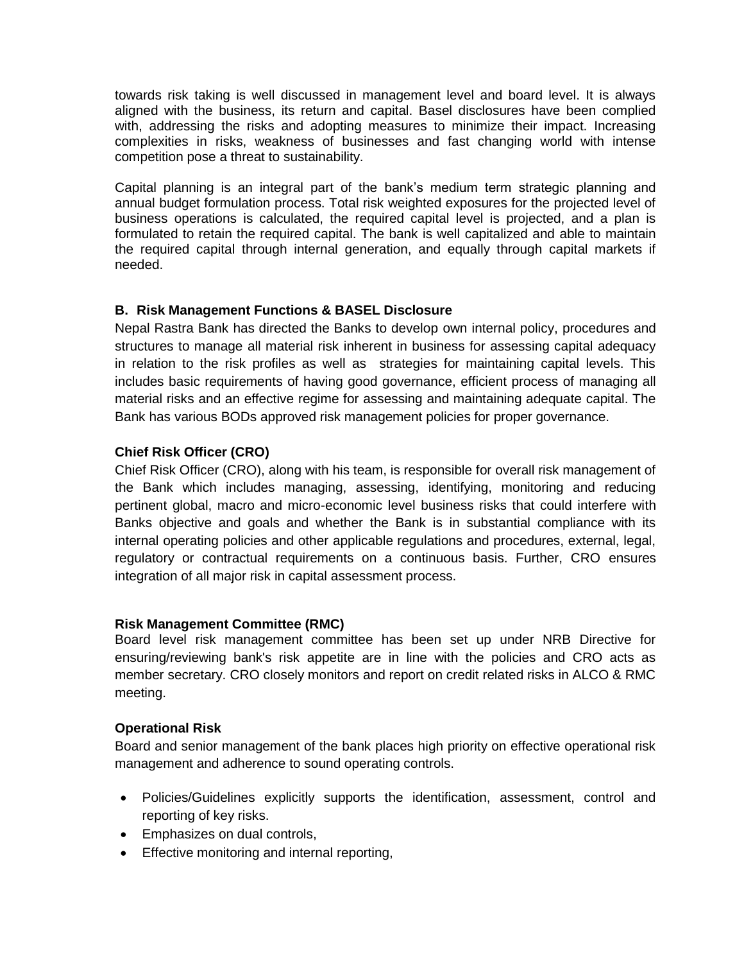towards risk taking is well discussed in management level and board level. It is always aligned with the business, its return and capital. Basel disclosures have been complied with, addressing the risks and adopting measures to minimize their impact. Increasing complexities in risks, weakness of businesses and fast changing world with intense competition pose a threat to sustainability.

Capital planning is an integral part of the bank's medium term strategic planning and annual budget formulation process. Total risk weighted exposures for the projected level of business operations is calculated, the required capital level is projected, and a plan is formulated to retain the required capital. The bank is well capitalized and able to maintain the required capital through internal generation, and equally through capital markets if needed.

## **B. Risk Management Functions & BASEL Disclosure**

Nepal Rastra Bank has directed the Banks to develop own internal policy, procedures and structures to manage all material risk inherent in business for assessing capital adequacy in relation to the risk profiles as well as strategies for maintaining capital levels. This includes basic requirements of having good governance, efficient process of managing all material risks and an effective regime for assessing and maintaining adequate capital. The Bank has various BODs approved risk management policies for proper governance.

## **Chief Risk Officer (CRO)**

Chief Risk Officer (CRO), along with his team, is responsible for overall risk management of the Bank which includes managing, assessing, identifying, monitoring and reducing pertinent global, macro and micro-economic level business risks that could interfere with Banks objective and goals and whether the Bank is in substantial compliance with its internal operating policies and other applicable regulations and procedures, external, legal, regulatory or contractual requirements on a continuous basis. Further, CRO ensures integration of all major risk in capital assessment process.

## **Risk Management Committee (RMC)**

Board level risk management committee has been set up under NRB Directive for ensuring/reviewing bank's risk appetite are in line with the policies and CRO acts as member secretary. CRO closely monitors and report on credit related risks in ALCO & RMC meeting.

## **Operational Risk**

Board and senior management of the bank places high priority on effective operational risk management and adherence to sound operating controls.

- Policies/Guidelines explicitly supports the identification, assessment, control and reporting of key risks.
- Emphasizes on dual controls,
- Effective monitoring and internal reporting,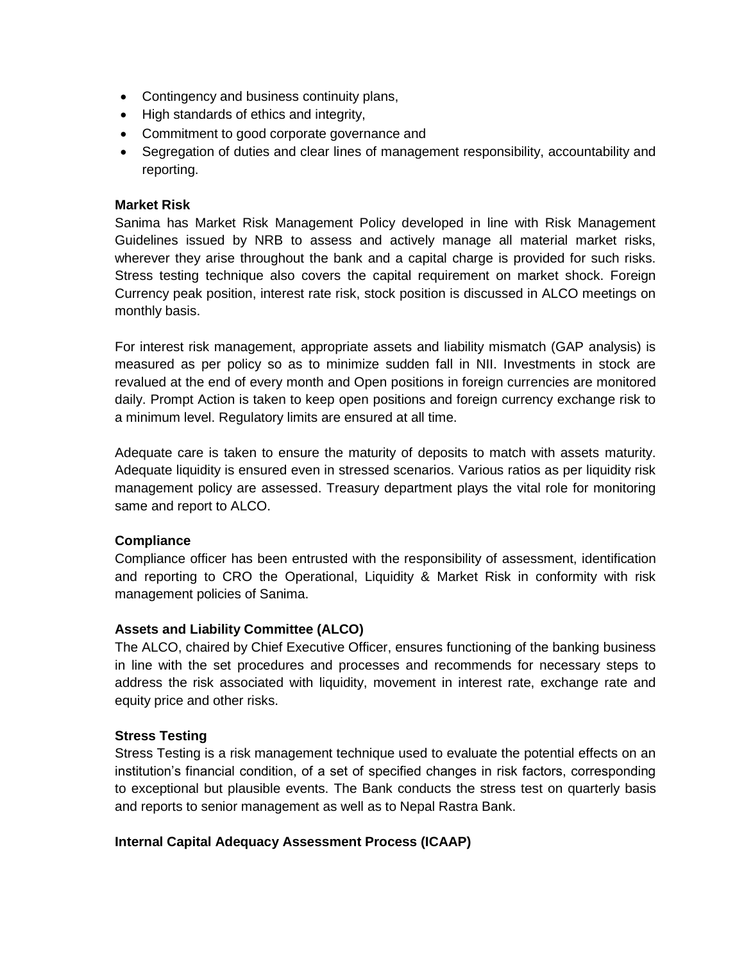- Contingency and business continuity plans,
- High standards of ethics and integrity,
- Commitment to good corporate governance and
- Segregation of duties and clear lines of management responsibility, accountability and reporting.

#### **Market Risk**

Sanima has Market Risk Management Policy developed in line with Risk Management Guidelines issued by NRB to assess and actively manage all material market risks, wherever they arise throughout the bank and a capital charge is provided for such risks. Stress testing technique also covers the capital requirement on market shock. Foreign Currency peak position, interest rate risk, stock position is discussed in ALCO meetings on monthly basis.

For interest risk management, appropriate assets and liability mismatch (GAP analysis) is measured as per policy so as to minimize sudden fall in NII. Investments in stock are revalued at the end of every month and Open positions in foreign currencies are monitored daily. Prompt Action is taken to keep open positions and foreign currency exchange risk to a minimum level. Regulatory limits are ensured at all time.

Adequate care is taken to ensure the maturity of deposits to match with assets maturity. Adequate liquidity is ensured even in stressed scenarios. Various ratios as per liquidity risk management policy are assessed. Treasury department plays the vital role for monitoring same and report to ALCO.

## **Compliance**

Compliance officer has been entrusted with the responsibility of assessment, identification and reporting to CRO the Operational, Liquidity & Market Risk in conformity with risk management policies of Sanima.

## **Assets and Liability Committee (ALCO)**

The ALCO, chaired by Chief Executive Officer, ensures functioning of the banking business in line with the set procedures and processes and recommends for necessary steps to address the risk associated with liquidity, movement in interest rate, exchange rate and equity price and other risks.

## **Stress Testing**

Stress Testing is a risk management technique used to evaluate the potential effects on an institution's financial condition, of a set of specified changes in risk factors, corresponding to exceptional but plausible events. The Bank conducts the stress test on quarterly basis and reports to senior management as well as to Nepal Rastra Bank.

## **Internal Capital Adequacy Assessment Process (ICAAP)**